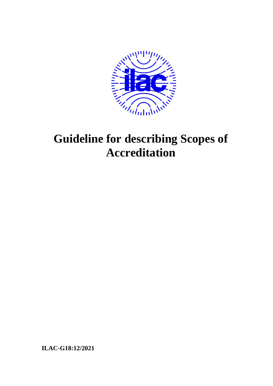

# **Guideline for describing Scopes of Accreditation**

**ILAC-G18:12/2021**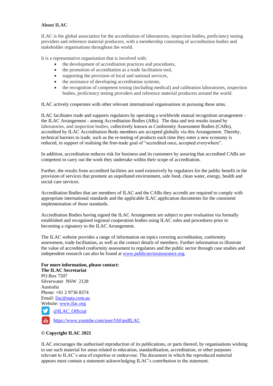#### **About ILAC**

ILAC is the global association for the accreditation of laboratories, inspection bodies, proficiency testing providers and reference material producers, with a membership consisting of accreditation bodies and stakeholder organisations throughout the world.

It is a representative organisation that is involved with:

- the development of accreditation practices and procedures,
- the promotion of accreditation as a trade facilitation tool,
- supporting the provision of local and national services,
- the assistance of developing accreditation systems,
- the recognition of competent testing (including medical) and calibration laboratories, inspection bodies, proficiency testing providers and reference material producers around the world.

ILAC actively cooperates with other relevant international organisations in pursuing these aims.

ILAC facilitates trade and supports regulators by operating a worldwide mutual recognition arrangement – the ILAC Arrangement - among Accreditation Bodies (ABs). The data and test results issued by laboratories, and inspection bodies, collectively known as Conformity Assessment Bodies (CABs), accredited by ILAC Accreditation Body members are accepted globally via this Arrangement. Thereby, technical barriers to trade, such as the re-testing of products each time they enter a new economy is reduced, in support of realising the free-trade goal of "accredited once, accepted everywhere".

In addition, accreditation reduces risk for business and its customers by assuring that accredited CABs are competent to carry out the work they undertake within their scope of accreditation.

Further, the results from accredited facilities are used extensively by regulators for the public benefit in the provision of services that promote an unpolluted environment, safe food, clean water, energy, health and social care services.

Accreditation Bodies that are members of ILAC and the CABs they accredit are required to comply with appropriate international standards and the applicable ILAC application documents for the consistent implementation of those standards.

Accreditation Bodies having signed the ILAC Arrangement are subject to peer evaluation via formally established and recognised regional cooperation bodies using ILAC rules and procedures prior to becoming a signatory to the ILAC Arrangement.

The ILAC website provides a range of information on topics covering accreditation, conformity assessment, trade facilitation, as well as the contact details of members. Further information to illustrate the value of accredited conformity assessment to regulators and the public sector through case studies and independent research can also be found at [www.publicsectorassurance.org.](http://www.publicsectorassurance.org/)

#### **For more information, please contact:**

**The ILAC Secretariat** PO Box 7507 Silverwater NSW 2128 Australia Phone: +61 2 9736 8374 Email: [ilac@nata.com.au](mailto:ilac@nata.com.au) Website: [www.ilac.org](http://www.ilac.org/) [@ILAC\\_Official](https://twitter.com/ILAC_Official) M <https://www.youtube.com/user/IAFandILAC>

#### **© Copyright ILAC 2021**

ILAC encourages the authorised reproduction of its publications, or parts thereof, by organisations wishing to use such material for areas related to education, standardisation, accreditation, or other purposes relevant to ILAC's area of expertise or endeavour. The document in which the reproduced material appears must contain a statement acknowledging ILAC's contribution to the statement.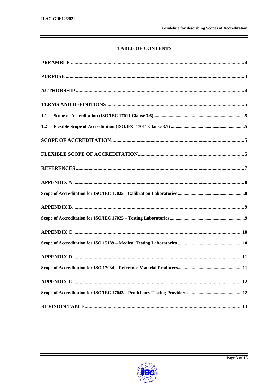## **TABLE OF CONTENTS**

| 1.1 |  |
|-----|--|
| 1.2 |  |
|     |  |
|     |  |
|     |  |
|     |  |
|     |  |
|     |  |
|     |  |
|     |  |
|     |  |
|     |  |
|     |  |
|     |  |
|     |  |
|     |  |

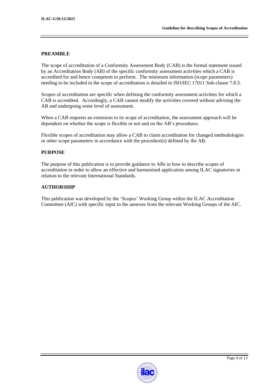#### <span id="page-3-0"></span>**PREAMBLE**

The scope of accreditation of a Conformity Assessment Body (CAB) is the formal statement issued by an Accreditation Body (AB) of the specific conformity assessment activities which a CAB is accredited for and hence competent to perform. The minimum information (scope parameters) needing to be included in the scope of accreditation is detailed in ISO/IEC 17011 Sub-clause 7.8.3.

Scopes of accreditation are specific when defining the conformity assessment activities for which a CAB is accredited. Accordingly, a CAB cannot modify the activities covered without advising the AB and undergoing some level of assessment.

When a CAB requests an extension to its scope of accreditation, the assessment approach will be dependent on whether the scope is flexible or not and on the AB's procedures.

Flexible scopes of accreditation may allow a CAB to claim accreditation for changed methodologies or other scope parameters in accordance with the procedure(s) defined by the AB.

#### <span id="page-3-1"></span>**PURPOSE**

The purpose of this publication is to provide guidance to ABs in how to describe scopes of accreditation in order to allow an effective and harmonised application among ILAC signatories in relation to the relevant International Standards.

#### <span id="page-3-2"></span>**AUTHORSHIP**

This publication was developed by the 'Scopes' Working Group within the ILAC Accreditation Committee (AIC) with specific input to the annexes from the relevant Working Groups of the AIC.

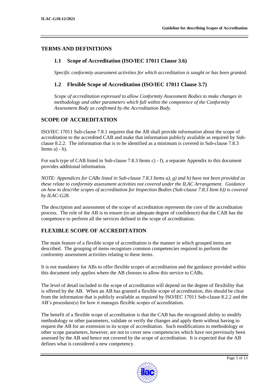## <span id="page-4-1"></span><span id="page-4-0"></span>**TERMS AND DEFINITIONS**

### **1.1 Scope of Accreditation (ISO/IEC 17011 Clause 3.6)**

*Specific conformity assessment activities for which accreditation is sought or has been granted.*

## <span id="page-4-2"></span>**1.2 Flexible Scope of Accreditation (ISO/IEC 17011 Clause 3.7)**

*Scope of accreditation expressed to allow Conformity Assessment Bodies to make changes in methodology and other parameters which fall within the competence of the Conformity Assessment Body as confirmed by the Accreditation Body.*

## <span id="page-4-3"></span>**SCOPE OF ACCREDITATION**

ISO/IEC 17011 Sub-clause 7.8.1 requires that the AB shall provide information about the scope of accreditation to the accredited CAB and make that information publicly available as required by Subclause 8.2.2. The information that is to be identified as a minimum is covered in Sub-clause 7.8.3 Items  $a) - h$ ).

For each type of CAB listed in Sub-clause 7.8.3 Items c) - f), a separate Appendix to this document provides additional information.

*NOTE: Appendices for CABs listed in Sub-clause 7.8.3 Items a), g) and h) have not been provided as these relate to conformity assessment activities not covered under the ILAC Arrangement. Guidance on how to describe scopes of accreditation for Inspection Bodies (Sub-clause 7.8.3 Item b)) is covered by ILAC-G28.*

The description and assessment of the scope of accreditation represents the core of the accreditation process. The role of the AB is to ensure (to an adequate degree of confidence) that the CAB has the competence to perform all the services defined in the scope of accreditation.

## <span id="page-4-4"></span>**FLEXIBLE SCOPE OF ACCREDITATION**

The main feature of a flexible scope of accreditation is the manner in which grouped items are described. The grouping of items recognises common competencies required to perform the conformity assessment activities relating to these items.

It is not mandatory for ABs to offer flexible scopes of accreditation and the guidance provided within this document only applies where the AB chooses to allow this service to CABs.

The level of detail included in the scope of accreditation will depend on the degree of flexibility that is offered by the AB. When an AB has granted a flexible scope of accreditation, this should be clear from the information that is publicly available as required by ISO/IEC 17011 Sub-clause 8.2.2 and the AB's procedure(s) for how it manages flexible scopes of accreditation.

The benefit of a flexible scope of accreditation is that the CAB has the recognised ability to modify methodology or other parameters, validate or verify the changes and apply them without having to request the AB for an extension to its scope of accreditation. Such modifications to methodology or other scope parameters, however, are not to cover new competencies which have not previously been assessed by the AB and hence not covered by the scope of accreditation. It is expected that the AB defines what is considered a new competency.

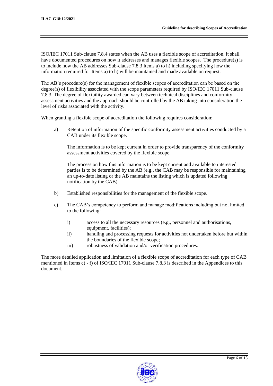ISO/IEC 17011 Sub-clause 7.8.4 states when the AB uses a flexible scope of accreditation, it shall have documented procedures on how it addresses and manages flexible scopes. The procedure(s) is to include how the AB addresses Sub-clause 7.8.3 Items a) to h) including specifying how the information required for Items a) to h) will be maintained and made available on request.

The AB's procedure(s) for the management of flexible scopes of accreditation can be based on the degree(s) of flexibility associated with the scope parameters required by ISO/IEC 17011 Sub-clause 7.8.3. The degree of flexibility awarded can vary between technical disciplines and conformity assessment activities and the approach should be controlled by the AB taking into consideration the level of risks associated with the activity.

When granting a flexible scope of accreditation the following requires consideration:

a) Retention of information of the specific conformity assessment activities conducted by a CAB under its flexible scope.

The information is to be kept current in order to provide transparency of the conformity assessment activities covered by the flexible scope.

The process on how this information is to be kept current and available to interested parties is to be determined by the AB (e.g., the CAB may be responsible for maintaining an up-to-date listing or the AB maintains the listing which is updated following notification by the CAB).

- b) Established responsibilities for the management of the flexible scope.
- c) The CAB's competency to perform and manage modifications including but not limited to the following:
	- i) access to all the necessary resources (e.g., personnel and authorisations, equipment, facilities);
	- ii) handling and processing requests for activities not undertaken before but within the boundaries of the flexible scope;
	- iii) robustness of validation and/or verification procedures.

<span id="page-5-0"></span>The more detailed application and limitation of a flexible scope of accreditation for each type of CAB mentioned in Items c) - f) of ISO/IEC 17011 Sub-clause 7.8.3 is described in the Appendices to this document.

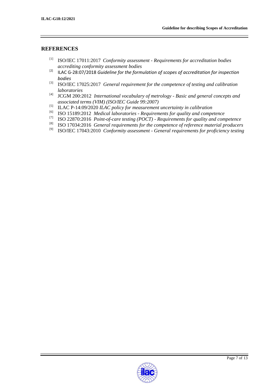### **REFERENCES**

- [1] ISO/IEC 17011:2017 *Conformity assessment - Requirements for accreditation bodies accrediting conformity assessment bodies*
- [2] ILAC G-28:07/2018 *Guideline for the formulation of scopes of accreditation for inspection bodies*
- [3] ISO/IEC 17025:2017 *General requirement for the competence of testing and calibration laboratories*
- [4] JCGM 200:2012 *International vocabulary of metrology - Basic and general concepts and associated terms (VIM) (ISO/IEC Guide 99:2007)*
- [5] ILAC P-14:09/2020 *ILAC policy for measurement uncertainty in calibration*
- [6] ISO 15189:2012 *Medical laboratories - Requirements for quality and competence*
- $^{[7]}$  ISO 22870:2016 *Point-of-care testing (POCT) Requirements for quality and competence*
- [8] ISO 17034:2016 *General requirements for the competence of reference material producers*
- [9] ISO/IEC 17043:2010 *Conformity assessment - General requirements for proficiency testing*

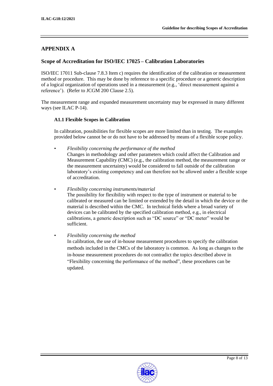## <span id="page-7-0"></span>**APPENDIX A**

## <span id="page-7-1"></span>**Scope of Accreditation for ISO/IEC 17025 – Calibration Laboratories**

ISO/IEC 17011 Sub-clause 7.8.3 Item c) requires the identification of the calibration or measurement method or procedure. This may be done by reference to a specific procedure or a generic description of a logical organization of operations used in a measurement (e.g., 'direct measurement against a reference'). (Refer to JCGM 200 Clause 2.5).

The measurement range and expanded measurement uncertainty may be expressed in many different ways (see ILAC P-14).

#### **A1.1 Flexible Scopes in Calibration**

In calibration, possibilities for flexible scopes are more limited than in testing. The examples provided below cannot be or do not have to be addressed by means of a flexible scope policy.

- *Flexibility concerning the performance of the method* Changes in methodology and other parameters which could affect the Calibration and Measurement Capability (CMC) (e.g., the calibration method, the measurement range or the measurement uncertainty) would be considered to fall outside of the calibration laboratory's existing competency and can therefore not be allowed under a flexible scope of accreditation.
- *Flexibility concerning instruments/material* The possibility for flexibility with respect to the type of instrument or material to be calibrated or measured can be limited or extended by the detail in which the device or the material is described within the CMC. In technical fields where a broad variety of devices can be calibrated by the specified calibration method, e.g., in electrical calibrations, a generic description such as "DC source" or "DC meter" would be sufficient.

#### • *Flexibility concerning the method*

In calibration, the use of in-house measurement procedures to specify the calibration methods included in the CMCs of the laboratory is common. As long as changes to the in-house measurement procedures do not contradict the topics described above in "Flexibility concerning the performance of the method", these procedures can be updated.

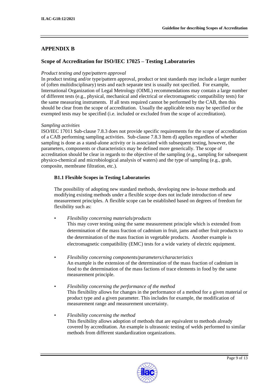## <span id="page-8-0"></span>**APPENDIX B**

## <span id="page-8-1"></span>**Scope of Accreditation for ISO/IEC 17025 – Testing Laboratories**

#### *Product testing and type/pattern approval*

In product testing and/or type/pattern approval, product or test standards may include a larger number of (often multidisciplinary) tests and each separate test is usually not specified. For example, International Organization of Legal Metrology (OIML) recommendations may contain a large number of different tests (e.g., physical, mechanical and electrical or electromagnetic compatibility tests) for the same measuring instruments. If all tests required cannot be performed by the CAB, then this should be clear from the scope of accreditation. Usually the applicable tests may be specified or the exempted tests may be specified (i.e. included or excluded from the scope of accreditation).

#### *Sampling activities*

ISO/IEC 17011 Sub-clause 7.8.3 does not provide specific requirements for the scope of accreditation of a CAB performing sampling activities. Sub-clause 7.8.3 Item d) applies regardless of whether sampling is done as a stand-alone activity or is associated with subsequent testing, however, the parameters, components or characteristics may be defined more generically. The scope of accreditation should be clear in regards to the objective of the sampling (e.g., sampling for subsequent physico-chemical and microbiological analysis of waters) and the type of sampling (e.g., grab, composite, membrane filtration, etc.).

#### **B1.1 Flexible Scopes in Testing Laboratories**

The possibility of adopting new standard methods, developing new in-house methods and modifying existing methods under a flexible scope does not include introduction of new measurement principles. A flexible scope can be established based on degrees of freedom for flexibility such as:

• *Flexibility concerning materials/products*

This may cover testing using the same measurement principle which is extended from determination of the mass fraction of cadmium in fruit, jams and other fruit products to the determination of the mass fraction in vegetable products. Another example is electromagnetic compatibility (EMC) tests for a wide variety of electric equipment.

- *Flexibility concerning components/parameters/characteristics* An example is the extension of the determination of the mass fraction of cadmium in food to the determination of the mass factions of trace elements in food by the same measurement principle.
- *Flexibility concerning the performance of the method* This flexibility allows for changes in the performance of a method for a given material or product type and a given parameter. This includes for example, the modification of measurement range and measurement uncertainty.
- *Flexibility concerning the method* This flexibility allows adoption of methods that are equivalent to methods already covered by accreditation. An example is ultrasonic testing of welds performed to similar methods from different standardization organizations.

<span id="page-8-2"></span>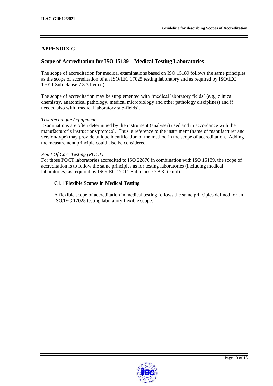## **APPENDIX C**

## <span id="page-9-0"></span>**Scope of Accreditation for ISO 15189 – Medical Testing Laboratories**

The scope of accreditation for medical examinations based on ISO 15189 follows the same principles as the scope of accreditation of an ISO/IEC 17025 testing laboratory and as required by ISO/IEC 17011 Sub-clause 7.8.3 Item d).

The scope of accreditation may be supplemented with 'medical laboratory fields' (e.g., clinical chemistry, anatomical pathology, medical microbiology and other pathology disciplines) and if needed also with 'medical laboratory sub-fields'.

#### *Test /technique /equipment*

Examinations are often determined by the instrument (analyser) used and in accordance with the manufacturer's instructions/protocol. Thus, a reference to the instrument (name of manufacturer and version/type) may provide unique identification of the method in the scope of accreditation. Adding the measurement principle could also be considered.

#### *Point Of Care Testing (POCT)*

For those POCT laboratories accredited to ISO 22870 in combination with ISO 15189, the scope of accreditation is to follow the same principles as for testing laboratories (including medical laboratories) as required by ISO/IEC 17011 Sub-clause 7.8.3 Item d).

#### **C1.1 Flexible Scopes in Medical Testing**

A flexible scope of accreditation in medical testing follows the same principles defined for an ISO/IEC 17025 testing laboratory flexible scope.

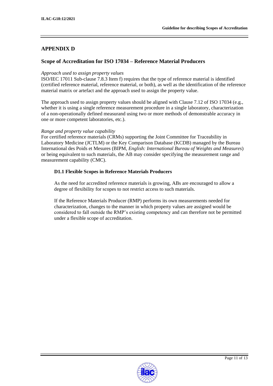## <span id="page-10-0"></span>**APPENDIX D**

## <span id="page-10-1"></span>**Scope of Accreditation for ISO 17034 – Reference Material Producers**

#### *Approach used to assign property values*

ISO/IEC 17011 Sub-clause 7.8.3 Item f) requires that the type of reference material is identified (certified reference material, reference material, or both), as well as the identification of the reference material matrix or artefact and the approach used to assign the property value.

The approach used to assign property values should be aligned with Clause 7.12 of ISO 17034 (e.g., whether it is using a single reference measurement procedure in a single laboratory, characterization of a non-operationally defined measurand using two or more methods of demonstrable accuracy in one or more competent laboratories, etc.).

#### *Range and property value capability*

For certified reference materials (CRMs) supporting the Joint Committee for Traceability in Laboratory Medicine (JCTLM) or the Key Comparison Database (KCDB) managed by the Bureau International des Poids et Mesures (BIPM, *English: International Bureau of Weights and Measures*) or being equivalent to such materials, the AB may consider specifying the measurement range and measurement capability (CMC).

#### **D1.1 Flexible Scopes in Reference Materials Producers**

As the need for accredited reference materials is growing, ABs are encouraged to allow a degree of flexibility for scopes to not restrict access to such materials.

If the Reference Materials Producer (RMP) performs its own measurements needed for characterization, changes to the manner in which property values are assigned would be considered to fall outside the RMP's existing competency and can therefore not be permitted under a flexible scope of accreditation.

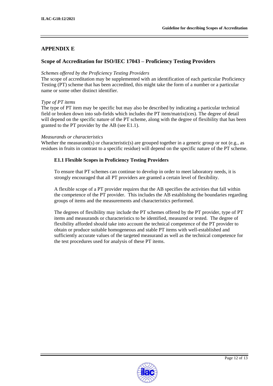## <span id="page-11-0"></span>**APPENDIX E**

## <span id="page-11-1"></span>**Scope of Accreditation for ISO/IEC 17043 – Proficiency Testing Providers**

#### *Schemes offered by the Proficiency Testing Providers*

The scope of accreditation may be supplemented with an identification of each particular Proficiency Testing (PT) scheme that has been accredited, this might take the form of a number or a particular name or some other distinct identifier.

#### *Type of PT items*

The type of PT item may be specific but may also be described by indicating a particular technical field or broken down into sub-fields which includes the PT item/matrix(ices). The degree of detail will depend on the specific nature of the PT scheme, along with the degree of flexibility that has been granted to the PT provider by the AB (see E1.1).

#### *Measurands or characteristics*

Whether the measurand(s) or characteristic(s) are grouped together in a generic group or not (e.g., as residues in fruits in contrast to a specific residue) will depend on the specific nature of the PT scheme.

#### **E1.1 Flexible Scopes in Proficiency Testing Providers**

To ensure that PT schemes can continue to develop in order to meet laboratory needs, it is strongly encouraged that all PT providers are granted a certain level of flexibility.

A flexible scope of a PT provider requires that the AB specifies the activities that fall within the competence of the PT provider. This includes the AB establishing the boundaries regarding groups of items and the measurements and characteristics performed.

The degrees of flexibility may include the PT schemes offered by the PT provider, type of PT items and measurands or characteristics to be identified, measured or tested. The degree of flexibility afforded should take into account the technical competence of the PT provider to obtain or produce suitable homogeneous and stable PT items with well-established and sufficiently accurate values of the targeted measurand as well as the technical competence for the test procedures used for analysis of these PT items.